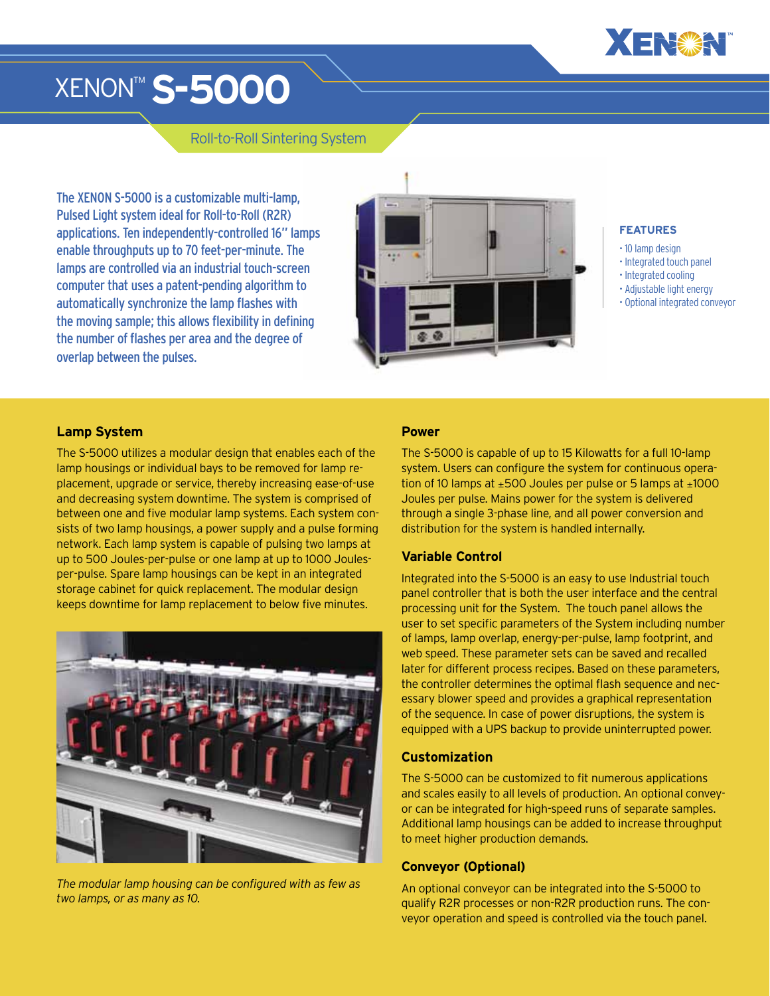

# XENON™ **S-5000**

# Roll-to-Roll Sintering System

The XENON S-5000 is a customizable multi-lamp, Pulsed Light system ideal for Roll-to-Roll (R2R) applications. Ten independently-controlled 16" lamps enable throughputs up to 70 feet-per-minute. The lamps are controlled via an industrial touch-screen computer that uses a patent-pending algorithm to automatically synchronize the lamp flashes with the moving sample; this allows flexibility in defining the number of flashes per area and the degree of overlap between the pulses.



#### **FEATURES**

- 10 lamp design
- Integrated touch panel
- Integrated cooling
- Adjustable light energy
- Optional integrated conveyor

#### **Lamp System**

The S-5000 utilizes a modular design that enables each of the lamp housings or individual bays to be removed for lamp replacement, upgrade or service, thereby increasing ease-of-use and decreasing system downtime. The system is comprised of between one and five modular lamp systems. Each system consists of two lamp housings, a power supply and a pulse forming network. Each lamp system is capable of pulsing two lamps at up to 500 Joules-per-pulse or one lamp at up to 1000 Joulesper-pulse. Spare lamp housings can be kept in an integrated storage cabinet for quick replacement. The modular design keeps downtime for lamp replacement to below five minutes.



*The modular lamp housing can be configured with as few as two lamps, or as many as 10.*

#### **Power**

The S-5000 is capable of up to 15 Kilowatts for a full 10-lamp system. Users can configure the system for continuous operation of 10 lamps at  $\pm 500$  Joules per pulse or 5 lamps at  $\pm 1000$ Joules per pulse. Mains power for the system is delivered through a single 3-phase line, and all power conversion and distribution for the system is handled internally.

#### **Variable Control**

Integrated into the S-5000 is an easy to use Industrial touch panel controller that is both the user interface and the central processing unit for the System. The touch panel allows the user to set specific parameters of the System including number of lamps, lamp overlap, energy-per-pulse, lamp footprint, and web speed. These parameter sets can be saved and recalled later for different process recipes. Based on these parameters, the controller determines the optimal flash sequence and necessary blower speed and provides a graphical representation of the sequence. In case of power disruptions, the system is equipped with a UPS backup to provide uninterrupted power.

### **Customization**

The S-5000 can be customized to fit numerous applications and scales easily to all levels of production. An optional conveyor can be integrated for high-speed runs of separate samples. Additional lamp housings can be added to increase throughput to meet higher production demands.

#### **Conveyor (Optional)**

An optional conveyor can be integrated into the S-5000 to qualify R2R processes or non-R2R production runs. The conveyor operation and speed is controlled via the touch panel.